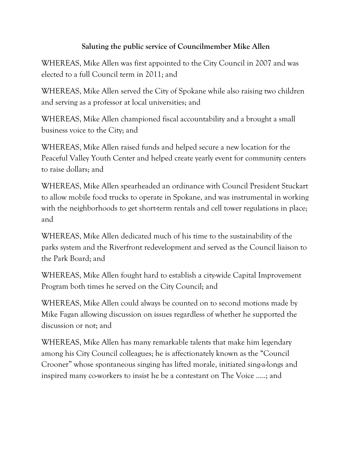## **Saluting the public service of Councilmember Mike Allen**

WHEREAS, Mike Allen was first appointed to the City Council in 2007 and was elected to a full Council term in 2011; and

WHEREAS, Mike Allen served the City of Spokane while also raising two children and serving as a professor at local universities; and

WHEREAS, Mike Allen championed fiscal accountability and a brought a small business voice to the City; and

WHEREAS, Mike Allen raised funds and helped secure a new location for the Peaceful Valley Youth Center and helped create yearly event for community centers to raise dollars; and

WHEREAS, Mike Allen spearheaded an ordinance with Council President Stuckart to allow mobile food trucks to operate in Spokane, and was instrumental in working with the neighborhoods to get short-term rentals and cell tower regulations in place; and

WHEREAS, Mike Allen dedicated much of his time to the sustainability of the parks system and the Riverfront redevelopment and served as the Council liaison to the Park Board; and

WHEREAS, Mike Allen fought hard to establish a city-wide Capital Improvement Program both times he served on the City Council; and

WHEREAS, Mike Allen could always be counted on to second motions made by Mike Fagan allowing discussion on issues regardless of whether he supported the discussion or not; and

WHEREAS, Mike Allen has many remarkable talents that make him legendary among his City Council colleagues; he is affectionately known as the "Council Crooner" whose spontaneous singing has lifted morale, initiated sing-a-longs and inspired many co-workers to insist he be a contestant on The Voice …..; and